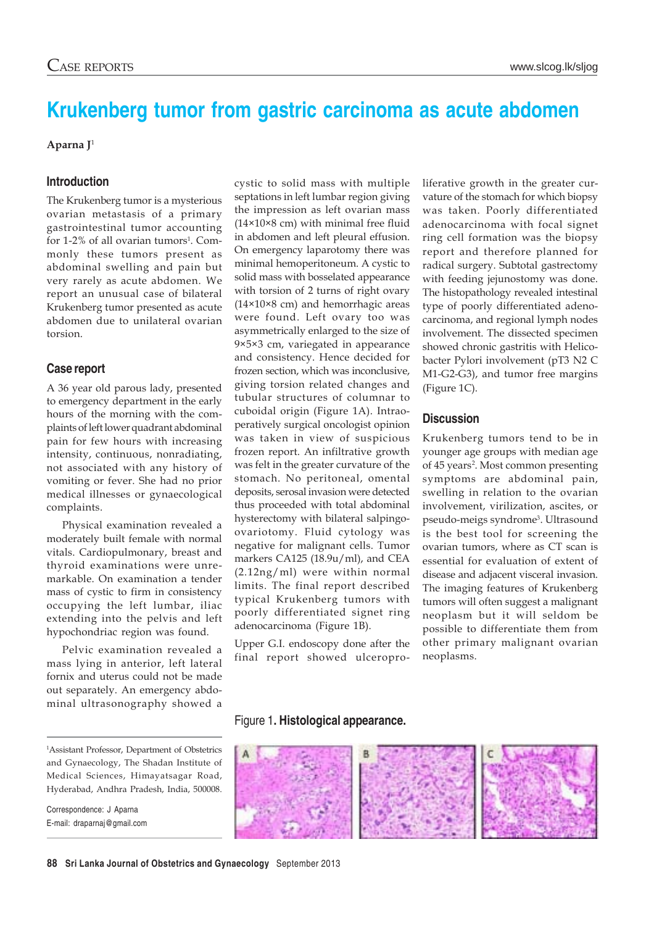# **Krukenberg tumor from gastric carcinoma as acute abdomen**

#### **Aparna J**<sup>1</sup>

# **Introduction**

The Krukenberg tumor is a mysterious ovarian metastasis of a primary gastrointestinal tumor accounting for 1-2% of all ovarian tumors<sup>1</sup>. Commonly these tumors present as abdominal swelling and pain but very rarely as acute abdomen. We report an unusual case of bilateral Krukenberg tumor presented as acute abdomen due to unilateral ovarian torsion.

# **Case report**

A 36 year old parous lady, presented to emergency department in the early hours of the morning with the complaints of left lower quadrant abdominal pain for few hours with increasing intensity, continuous, nonradiating, not associated with any history of vomiting or fever. She had no prior medical illnesses or gynaecological complaints.

Physical examination revealed a moderately built female with normal vitals. Cardiopulmonary, breast and thyroid examinations were unremarkable. On examination a tender mass of cystic to firm in consistency occupying the left lumbar, iliac extending into the pelvis and left hypochondriac region was found.

Pelvic examination revealed a mass lying in anterior, left lateral fornix and uterus could not be made out separately. An emergency abdominal ultrasonography showed a cystic to solid mass with multiple septations in left lumbar region giving the impression as left ovarian mass (14×10×8 cm) with minimal free fluid in abdomen and left pleural effusion. On emergency laparotomy there was minimal hemoperitoneum. A cystic to solid mass with bosselated appearance with torsion of 2 turns of right ovary (14×10×8 cm) and hemorrhagic areas were found. Left ovary too was asymmetrically enlarged to the size of 9×5×3 cm, variegated in appearance and consistency. Hence decided for frozen section, which was inconclusive, giving torsion related changes and tubular structures of columnar to cuboidal origin (Figure 1A). Intraoperatively surgical oncologist opinion was taken in view of suspicious frozen report. An infiltrative growth was felt in the greater curvature of the stomach. No peritoneal, omental deposits, serosal invasion were detected thus proceeded with total abdominal hysterectomy with bilateral salpingoovariotomy. Fluid cytology was negative for malignant cells. Tumor markers CA125 (18.9u/ml), and CEA (2.12ng/ml) were within normal limits. The final report described typical Krukenberg tumors with poorly differentiated signet ring adenocarcinoma (Figure 1B).

Upper G.I. endoscopy done after the final report showed ulceroproliferative growth in the greater curvature of the stomach for which biopsy was taken. Poorly differentiated adenocarcinoma with focal signet ring cell formation was the biopsy report and therefore planned for radical surgery. Subtotal gastrectomy with feeding jejunostomy was done. The histopathology revealed intestinal type of poorly differentiated adenocarcinoma, and regional lymph nodes involvement. The dissected specimen showed chronic gastritis with Helicobacter Pylori involvement (pT3 N2 C M1-G2-G3), and tumor free margins (Figure 1C).

# **Discussion**

Krukenberg tumors tend to be in younger age groups with median age of 45 years<sup>2</sup>. Most common presenting symptoms are abdominal pain, swelling in relation to the ovarian involvement, virilization, ascites, or pseudo-meigs syndrome<sup>3</sup>. Ultrasound is the best tool for screening the ovarian tumors, where as CT scan is essential for evaluation of extent of disease and adjacent visceral invasion. The imaging features of Krukenberg tumors will often suggest a malignant neoplasm but it will seldom be possible to differentiate them from other primary malignant ovarian neoplasms.

# Figure 1**. Histological appearance.**



1 Assistant Professor, Department of Obstetrics and Gynaecology, The Shadan Institute of Medical Sciences, Himayatsagar Road, Hyderabad, Andhra Pradesh, India, 500008.

Correspondence: J Aparna E-mail: draparnaj@gmail.com